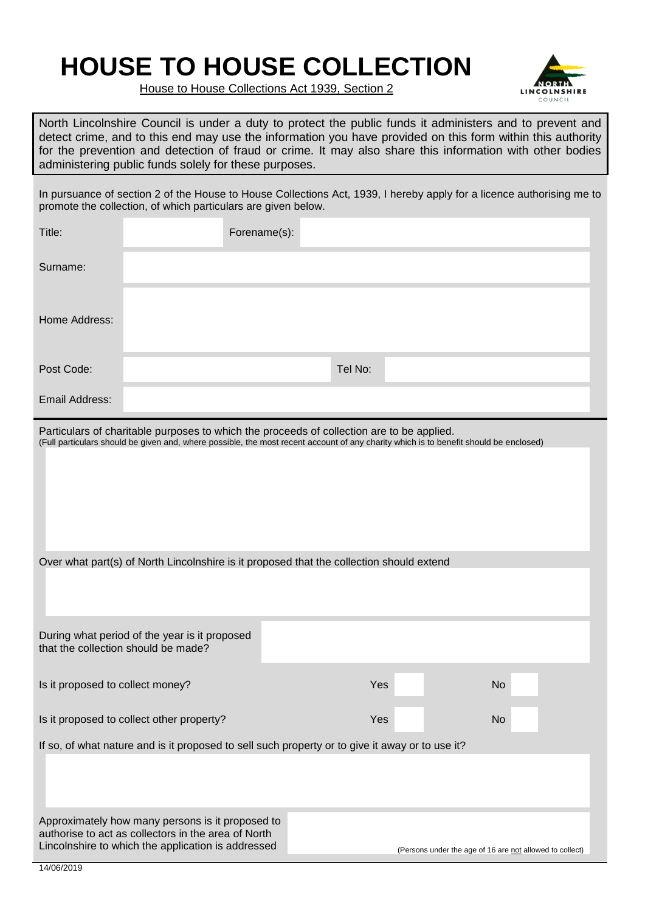## **HOUSE TO HOUSE COLLECTION**



House to House Collections Act 1939, Section 2

North Lincolnshire Council is under a duty to protect the public funds it administers and to prevent and detect crime, and to this end may use the information you have provided on this form within this authority for the prevention and detection of fraud or crime. It may also share this information with other bodies administering public funds solely for these purposes.

In pursuance of section 2 of the House to House Collections Act, 1939, I hereby apply for a licence authorising me to promote the collection, of which particulars are given below.

| Title:                                                                                                                                                                                                                             |                                                                                                                                                               | Forename(s): |         |  |                                                          |  |
|------------------------------------------------------------------------------------------------------------------------------------------------------------------------------------------------------------------------------------|---------------------------------------------------------------------------------------------------------------------------------------------------------------|--------------|---------|--|----------------------------------------------------------|--|
| Surname:                                                                                                                                                                                                                           |                                                                                                                                                               |              |         |  |                                                          |  |
| Home Address:                                                                                                                                                                                                                      |                                                                                                                                                               |              |         |  |                                                          |  |
| Post Code:                                                                                                                                                                                                                         |                                                                                                                                                               |              | Tel No: |  |                                                          |  |
| Email Address:                                                                                                                                                                                                                     |                                                                                                                                                               |              |         |  |                                                          |  |
| Particulars of charitable purposes to which the proceeds of collection are to be applied.<br>(Full particulars should be given and, where possible, the most recent account of any charity which is to benefit should be enclosed) |                                                                                                                                                               |              |         |  |                                                          |  |
|                                                                                                                                                                                                                                    |                                                                                                                                                               |              |         |  |                                                          |  |
| Over what part(s) of North Lincolnshire is it proposed that the collection should extend                                                                                                                                           |                                                                                                                                                               |              |         |  |                                                          |  |
| that the collection should be made?                                                                                                                                                                                                | During what period of the year is it proposed                                                                                                                 |              |         |  |                                                          |  |
| Is it proposed to collect money?                                                                                                                                                                                                   |                                                                                                                                                               |              | Yes     |  | <b>No</b>                                                |  |
| Is it proposed to collect other property?                                                                                                                                                                                          |                                                                                                                                                               |              | Yes     |  | <b>No</b>                                                |  |
|                                                                                                                                                                                                                                    | If so, of what nature and is it proposed to sell such property or to give it away or to use it?                                                               |              |         |  |                                                          |  |
| 14/06/2019                                                                                                                                                                                                                         | Approximately how many persons is it proposed to<br>authorise to act as collectors in the area of North<br>Lincolnshire to which the application is addressed |              |         |  | (Persons under the age of 16 are not allowed to collect) |  |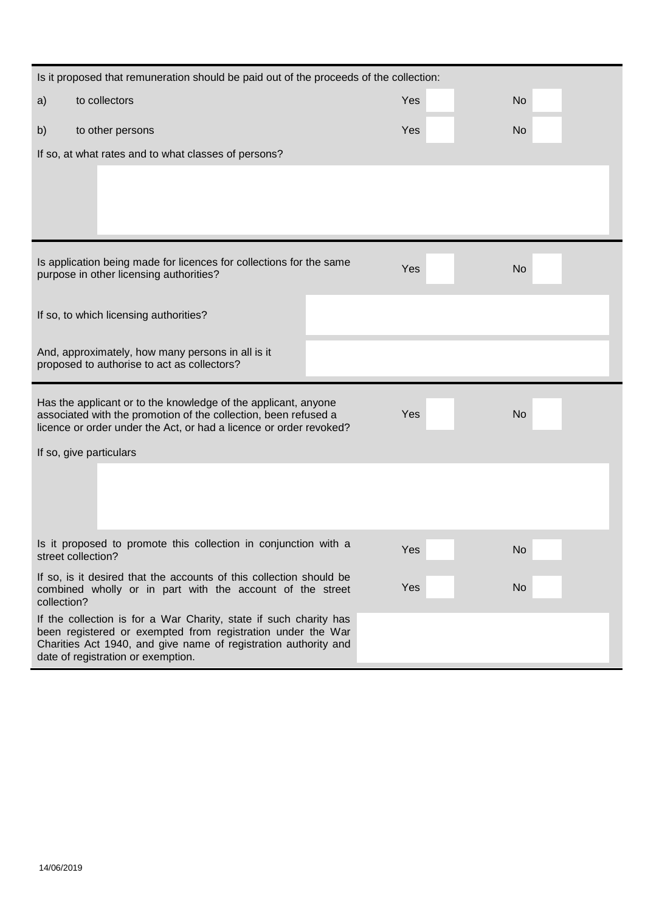| Is it proposed that remuneration should be paid out of the proceeds of the collection:                                                   |                                                                                                                                  |  |     |           |  |  |
|------------------------------------------------------------------------------------------------------------------------------------------|----------------------------------------------------------------------------------------------------------------------------------|--|-----|-----------|--|--|
| a)                                                                                                                                       | to collectors                                                                                                                    |  | Yes | <b>No</b> |  |  |
| b)                                                                                                                                       | to other persons                                                                                                                 |  | Yes | <b>No</b> |  |  |
| If so, at what rates and to what classes of persons?                                                                                     |                                                                                                                                  |  |     |           |  |  |
|                                                                                                                                          |                                                                                                                                  |  |     |           |  |  |
|                                                                                                                                          |                                                                                                                                  |  |     |           |  |  |
|                                                                                                                                          |                                                                                                                                  |  |     |           |  |  |
|                                                                                                                                          | Is application being made for licences for collections for the same                                                              |  |     |           |  |  |
| Yes<br><b>No</b><br>purpose in other licensing authorities?                                                                              |                                                                                                                                  |  |     |           |  |  |
|                                                                                                                                          | If so, to which licensing authorities?                                                                                           |  |     |           |  |  |
|                                                                                                                                          |                                                                                                                                  |  |     |           |  |  |
|                                                                                                                                          | And, approximately, how many persons in all is it<br>proposed to authorise to act as collectors?                                 |  |     |           |  |  |
|                                                                                                                                          |                                                                                                                                  |  |     |           |  |  |
| Has the applicant or to the knowledge of the applicant, anyone<br>Yes<br>associated with the promotion of the collection, been refused a |                                                                                                                                  |  |     | <b>No</b> |  |  |
|                                                                                                                                          | licence or order under the Act, or had a licence or order revoked?                                                               |  |     |           |  |  |
| If so, give particulars                                                                                                                  |                                                                                                                                  |  |     |           |  |  |
|                                                                                                                                          |                                                                                                                                  |  |     |           |  |  |
|                                                                                                                                          |                                                                                                                                  |  |     |           |  |  |
|                                                                                                                                          |                                                                                                                                  |  |     |           |  |  |
| Is it proposed to promote this collection in conjunction with a<br>street collection?                                                    |                                                                                                                                  |  | Yes | <b>No</b> |  |  |
| collection?                                                                                                                              | If so, is it desired that the accounts of this collection should be<br>combined wholly or in part with the account of the street |  | Yes | No        |  |  |
| If the collection is for a War Charity, state if such charity has<br>been registered or exempted from registration under the War         |                                                                                                                                  |  |     |           |  |  |
| Charities Act 1940, and give name of registration authority and<br>date of registration or exemption.                                    |                                                                                                                                  |  |     |           |  |  |